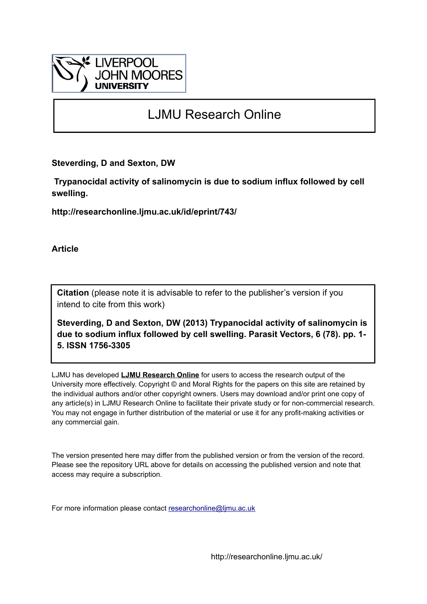

## LJMU Research Online

**Steverding, D and Sexton, DW**

 **Trypanocidal activity of salinomycin is due to sodium influx followed by cell swelling.**

**http://researchonline.ljmu.ac.uk/id/eprint/743/**

**Article**

**Citation** (please note it is advisable to refer to the publisher's version if you intend to cite from this work)

**Steverding, D and Sexton, DW (2013) Trypanocidal activity of salinomycin is due to sodium influx followed by cell swelling. Parasit Vectors, 6 (78). pp. 1- 5. ISSN 1756-3305** 

LJMU has developed **[LJMU Research Online](http://researchonline.ljmu.ac.uk/)** for users to access the research output of the University more effectively. Copyright © and Moral Rights for the papers on this site are retained by the individual authors and/or other copyright owners. Users may download and/or print one copy of any article(s) in LJMU Research Online to facilitate their private study or for non-commercial research. You may not engage in further distribution of the material or use it for any profit-making activities or any commercial gain.

The version presented here may differ from the published version or from the version of the record. Please see the repository URL above for details on accessing the published version and note that access may require a subscription.

For more information please contact [researchonline@ljmu.ac.uk](mailto:researchonline@ljmu.ac.uk)

http://researchonline.ljmu.ac.uk/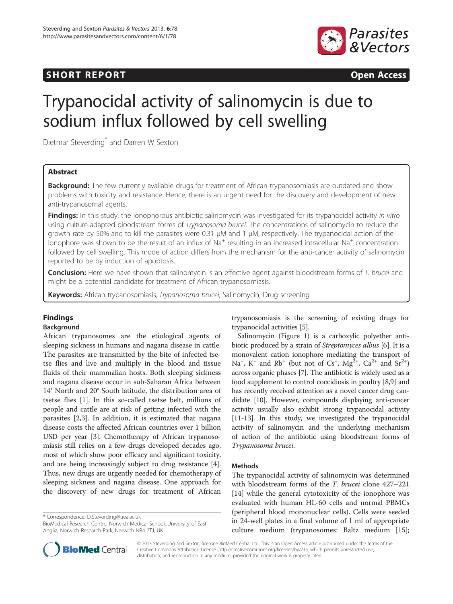## SHORT REPORT **The CONSTRUCTION CONSTRUCTS**  $\blacksquare$



# Trypanocidal activity of salinomycin is due to sodium influx followed by cell swelling

Dietmar Steverding\* and Darren W Sexton

#### Abstract

Background: The few currently available drugs for treatment of African trypanosomiasis are outdated and show problems with toxicity and resistance. Hence, there is an urgent need for the discovery and development of new anti-trypanosomal agents.

Findings: In this study, the ionophorous antibiotic salinomycin was investigated for its trypanocidal activity in vitro using culture-adapted bloodstream forms of Trypanosoma brucei. The concentrations of salinomycin to reduce the growth rate by 50% and to kill the parasites were 0.31 μM and 1 μM, respectively. The trypanocidal action of the ionophore was shown to be the result of an influx of Na<sup>+</sup> resulting in an increased intracellular Na<sup>+</sup> concentration followed by cell swelling. This mode of action differs from the mechanism for the anti-cancer activity of salinomycin reported to be by induction of apoptosis.

Conclusion: Here we have shown that salinomycin is an effective agent against bloodstream forms of T. brucei and might be a potential candidate for treatment of African trypanosomiasis.

Keywords: African trypanosomiasis, Trypanosoma brucei, Salinomycin, Drug screening

### Findings

#### Background

African trypanosomes are the etiological agents of sleeping sickness in humans and nagana disease in cattle. The parasites are transmitted by the bite of infected tsetse flies and live and multiply in the blood and tissue fluids of their mammalian hosts. Both sleeping sickness and nagana disease occur in sub-Saharan Africa between 14° North and 20° South latitude, the distribution area of tsetse flies [[1\]](#page-5-0). In this so-called tsetse belt, millions of people and cattle are at risk of getting infected with the parasites [[2,3\]](#page-5-0). In addition, it is estimated that nagana disease costs the affected African countries over 1 billion USD per year [\[3](#page-5-0)]. Chemotherapy of African trypanosomiasis still relies on a few drugs developed decades ago, most of which show poor efficacy and significant toxicity, and are being increasingly subject to drug resistance [[4](#page-5-0)]. Thus, new drugs are urgently needed for chemotherapy of sleeping sickness and nagana disease. One approach for the discovery of new drugs for treatment of African

\* Correspondence: [D.Steverding@uea.ac.uk](mailto:D.Steverding@uea.ac.uk)

BioMedical Research Centre, Norwich Medical School, University of East Anglia, Norwich Research Park, Norwich NR4 7TJ, UK

trypanosomiasis is the screening of existing drugs for trypanocidal activities [\[5](#page-5-0)].

Salinomycin (Figure [1](#page-2-0)) is a carboxylic polyether anti-biotic produced by a strain of Streptomyces albus [\[6](#page-5-0)]. It is a monovalent cation ionophore mediating the transport of Na<sup>+</sup>, K<sup>+</sup> and Rb<sup>+</sup> (but not of Cs<sup>+</sup>, Mg<sup>2+</sup>, Ca<sup>2+</sup> and Sr<sup>2+</sup>) across organic phases [[7](#page-5-0)]. The antibiotic is widely used as a food supplement to control coccidiosis in poultry [\[8,9](#page-5-0)] and has recently received attention as a novel cancer drug candidate [[10](#page-5-0)]. However, compounds displaying anti-cancer activity usually also exhibit strong trypanocidal activity [[11](#page-5-0)-[13](#page-5-0)]. In this study, we investigated the trypanocidal activity of salinomycin and the underlying mechanism of action of the antibiotic using bloodstream forms of Trypanosoma brucei.

#### Methods

The trypanocidal activity of salinomycin was determined with bloodstream forms of the *T. brucei* clone 427–221 [[14\]](#page-5-0) while the general cytotoxicity of the ionophore was evaluated with human HL-60 cells and normal PBMCs (peripheral blood mononuclear cells). Cells were seeded in 24-well plates in a final volume of 1 ml of appropriate culture medium (trypanosomes: Baltz medium [\[15](#page-5-0)];



© 2013 Steverding and Sexton; licensee BioMed Central Ltd. This is an Open Access article distributed under the terms of the Creative Commons Attribution License (<http://creativecommons.org/licenses/by/2.0>), which permits unrestricted use, distribution, and reproduction in any medium, provided the original work is properly cited.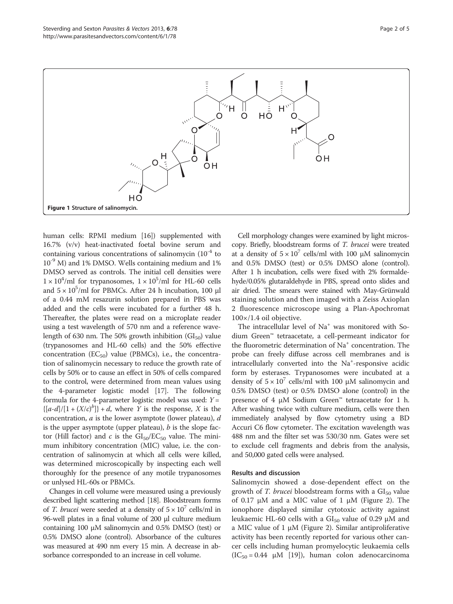<span id="page-2-0"></span>

human cells: RPMI medium [[16](#page-5-0)]) supplemented with 16.7% (v/v) heat-inactivated foetal bovine serum and containing various concentrations of salinomycin  $(10^{-4}$  to  $10^{-9}$  M) and 1% DMSO. Wells containing medium and 1% DMSO served as controls. The initial cell densities were  $1 \times 10^4$ /ml for trypanosomes,  $1 \times 10^5$ /ml for HL-60 cells and  $5 \times 10^5$ /ml for PBMCs. After 24 h incubation, 100 µl of a 0.44 mM resazurin solution prepared in PBS was added and the cells were incubated for a further 48 h. Thereafter, the plates were read on a microplate reader using a test wavelength of 570 nm and a reference wavelength of 630 nm. The 50% growth inhibition  $(GI_{50})$  value (trypanosomes and HL-60 cells) and the 50% effective concentration  $(EC_{50})$  value (PBMCs), i.e., the concentration of salinomycin necessary to reduce the growth rate of cells by 50% or to cause an effect in 50% of cells compared to the control, were determined from mean values using the 4-parameter logistic model [[17](#page-5-0)]. The following formula for the 4-parameter logistic model was used:  $Y =$  $\{[a-d]/[1 + (X/c)^b]\} + d$ , where Y is the response, X is the concentration,  $a$  is the lower asymptote (lower plateau),  $d$ is the upper asymptote (upper plateau),  $b$  is the slope factor (Hill factor) and c is the  $\text{GI}_{50}/\text{EC}_{50}$  value. The minimum inhibitory concentration (MIC) value, i.e. the concentration of salinomycin at which all cells were killed, was determined microscopically by inspecting each well thoroughly for the presence of any motile trypanosomes or unlysed HL-60s or PBMCs.

Changes in cell volume were measured using a previously described light scattering method [[18](#page-5-0)]. Bloodstream forms of *T. brucei* were seeded at a density of  $5 \times 10^7$  cells/ml in 96-well plates in a final volume of 200 μl culture medium containing 100 μM salinomycin and 0.5% DMSO (test) or 0.5% DMSO alone (control). Absorbance of the cultures was measured at 490 nm every 15 min. A decrease in absorbance corresponded to an increase in cell volume.

Cell morphology changes were examined by light microscopy. Briefly, bloodstream forms of T. brucei were treated at a density of  $5 \times 10^7$  cells/ml with 100 μM salinomycin and 0.5% DMSO (test) or 0.5% DMSO alone (control). After 1 h incubation, cells were fixed with 2% formaldehyde/0.05% glutaraldehyde in PBS, spread onto slides and air dried. The smears were stained with May-Grünwald staining solution and then imaged with a Zeiss Axioplan 2 fluorescence microscope using a Plan-Apochromat 100×/1.4 oil objective.

The intracellular level of Na<sup>+</sup> was monitored with Sodium Green™ tetraacetate, a cell-permeant indicator for the fluorometric determination of Na<sup>+</sup> concentration. The probe can freely diffuse across cell membranes and is intracellularly converted into the Na<sup>+</sup>-responsive acidic form by esterases. Trypanosomes were incubated at a density of  $5 \times 10^7$  cells/ml with 100 μM salinomycin and 0.5% DMSO (test) or 0.5% DMSO alone (control) in the presence of 4 μM Sodium Green™ tetraacetate for 1 h. After washing twice with culture medium, cells were then immediately analysed by flow cytometry using a BD Accuri C6 flow cytometer. The excitation wavelength was 488 nm and the filter set was 530/30 nm. Gates were set to exclude cell fragments and debris from the analysis, and 50,000 gated cells were analysed.

#### Results and discussion

Salinomycin showed a dose-dependent effect on the growth of T. brucei bloodstream forms with a  $GI_{50}$  value of 0.17 μM and a MIC value of 1 μM (Figure [2\)](#page-3-0). The ionophore displayed similar cytotoxic activity against leukaemic HL-60 cells with a  $GI_{50}$  value of 0.29  $\mu$ M and a MIC value of 1 μM (Figure [2](#page-3-0)). Similar antiproliferative activity has been recently reported for various other cancer cells including human promyelocytic leukaemia cells  $(IC_{50} = 0.44 \mu M$  [\[19](#page-5-0)]), human colon adenocarcinoma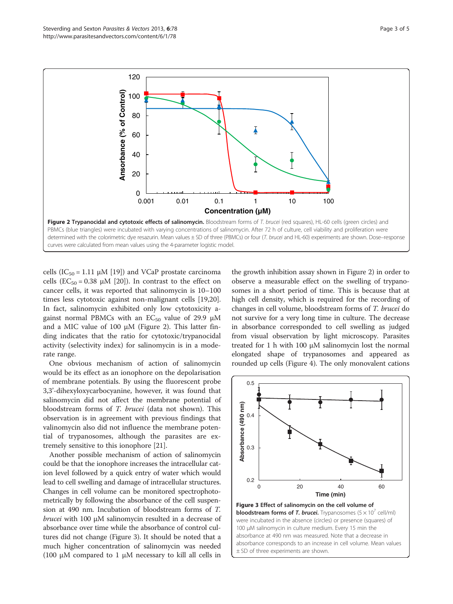<span id="page-3-0"></span>

cells (IC<sub>50</sub> = 1.11  $\mu$ M [\[19\]](#page-5-0)) and VCaP prostate carcinoma cells (EC<sub>50</sub> = 0.38  $\mu$ M [[20\]](#page-5-0)). In contrast to the effect on cancer cells, it was reported that salinomycin is 10–100 times less cytotoxic against non-malignant cells [\[19,20](#page-5-0)]. In fact, salinomycin exhibited only low cytotoxicity against normal PBMCs with an  $EC_{50}$  value of 29.9  $\mu$ M and a MIC value of 100  $\mu$ M (Figure 2). This latter finding indicates that the ratio for cytotoxic/trypanocidal activity (selectivity index) for salinomycin is in a moderate range.

One obvious mechanism of action of salinomycin would be its effect as an ionophore on the depolarisation of membrane potentials. By using the fluorescent probe 3,3'-dihexyloxycarbocyanine, however, it was found that salinomycin did not affect the membrane potential of bloodstream forms of T. brucei (data not shown). This observation is in agreement with previous findings that valinomycin also did not influence the membrane potential of trypanosomes, although the parasites are extremely sensitive to this ionophore [[21\]](#page-5-0).

Another possible mechanism of action of salinomycin could be that the ionophore increases the intracellular cation level followed by a quick entry of water which would lead to cell swelling and damage of intracellular structures. Changes in cell volume can be monitored spectrophotometrically by following the absorbance of the cell suspension at 490 nm. Incubation of bloodstream forms of T. brucei with 100 μM salinomycin resulted in a decrease of absorbance over time while the absorbance of control cultures did not change (Figure 3). It should be noted that a much higher concentration of salinomycin was needed (100 μM compared to 1 μM necessary to kill all cells in the growth inhibition assay shown in Figure 2) in order to observe a measurable effect on the swelling of trypanosomes in a short period of time. This is because that at high cell density, which is required for the recording of changes in cell volume, bloodstream forms of T. brucei do not survive for a very long time in culture. The decrease in absorbance corresponded to cell swelling as judged from visual observation by light microscopy. Parasites treated for 1 h with 100 μM salinomycin lost the normal elongated shape of trypanosomes and appeared as rounded up cells (Figure [4](#page-4-0)). The only monovalent cations

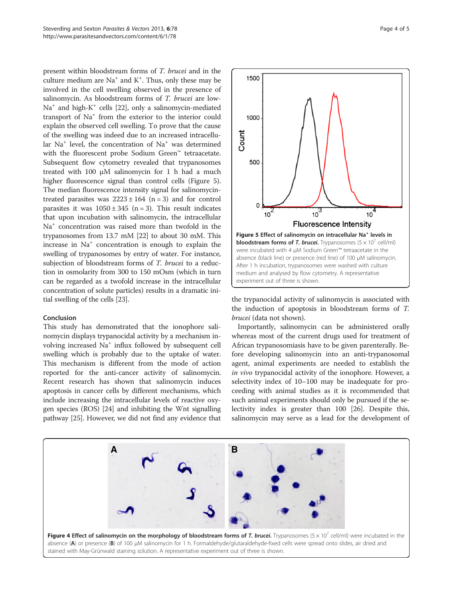<span id="page-4-0"></span>present within bloodstream forms of T. brucei and in the culture medium are  $Na<sup>+</sup>$  and  $K<sup>+</sup>$ . Thus, only these may be involved in the cell swelling observed in the presence of salinomycin. As bloodstream forms of T. brucei are low- $Na<sup>+</sup>$  and high-K<sup>+</sup> cells [[22](#page-5-0)], only a salinomycin-mediated transport of Na<sup>+</sup> from the exterior to the interior could explain the observed cell swelling. To prove that the cause of the swelling was indeed due to an increased intracellular  $Na<sup>+</sup>$  level, the concentration of  $Na<sup>+</sup>$  was determined with the fluorescent probe Sodium Green™ tetraacetate. Subsequent flow cytometry revealed that trypanosomes treated with 100 μM salinomycin for 1 h had a much higher fluorescence signal than control cells (Figure 5). The median fluorescence intensity signal for salinomycintreated parasites was  $2223 \pm 164$  (n = 3) and for control parasites it was  $1050 \pm 345$  (n = 3). This result indicates that upon incubation with salinomycin, the intracellular Na+ concentration was raised more than twofold in the trypanosomes from 13.7 mM [[22](#page-5-0)] to about 30 mM. This increase in Na<sup>+</sup> concentration is enough to explain the swelling of trypanosomes by entry of water. For instance, subjection of bloodstream forms of T. brucei to a reduction in osmolarity from 300 to 150 mOsm (which in turn can be regarded as a twofold increase in the intracellular concentration of solute particles) results in a dramatic initial swelling of the cells [\[23\]](#page-5-0).

#### Conclusion

This study has demonstrated that the ionophore salinomycin displays trypanocidal activity by a mechanism involving increased Na<sup>+</sup> influx followed by subsequent cell swelling which is probably due to the uptake of water. This mechanism is different from the mode of action reported for the anti-cancer activity of salinomycin. Recent research has shown that salinomycin induces apoptosis in cancer cells by different mechanisms, which include increasing the intracellular levels of reactive oxygen species (ROS) [[24](#page-5-0)] and inhibiting the Wnt signalling pathway [\[25\]](#page-5-0). However, we did not find any evidence that



the trypanocidal activity of salinomycin is associated with the induction of apoptosis in bloodstream forms of T. brucei (data not shown).

Importantly, salinomycin can be administered orally whereas most of the current drugs used for treatment of African trypanosomiasis have to be given parenterally. Before developing salinomycin into an anti-trypanosomal agent, animal experiments are needed to establish the in vivo trypanocidal activity of the ionophore. However, a selectivity index of 10–100 may be inadequate for proceeding with animal studies as it is recommended that such animal experiments should only be pursued if the selectivity index is greater than 100 [\[26](#page-5-0)]. Despite this, salinomycin may serve as a lead for the development of